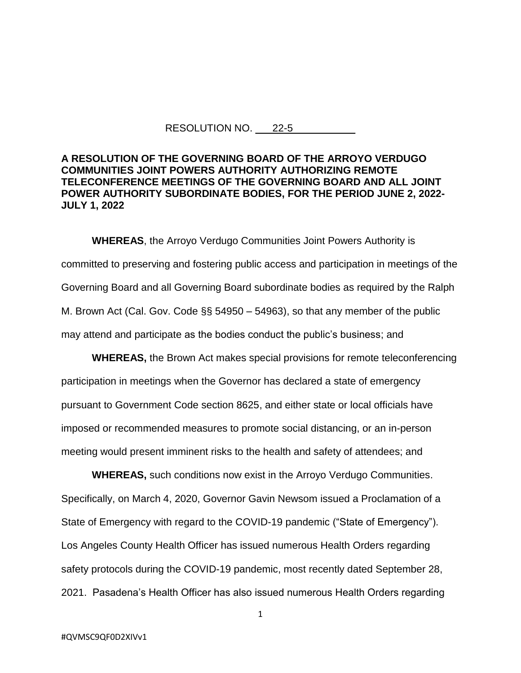## RESOLUTION NO. 22-5

## **A RESOLUTION OF THE GOVERNING BOARD OF THE ARROYO VERDUGO COMMUNITIES JOINT POWERS AUTHORITY AUTHORIZING REMOTE TELECONFERENCE MEETINGS OF THE GOVERNING BOARD AND ALL JOINT POWER AUTHORITY SUBORDINATE BODIES, FOR THE PERIOD JUNE 2, 2022- JULY 1, 2022**

**WHEREAS**, the Arroyo Verdugo Communities Joint Powers Authority is committed to preserving and fostering public access and participation in meetings of the Governing Board and all Governing Board subordinate bodies as required by the Ralph M. Brown Act (Cal. Gov. Code §§ 54950 – 54963), so that any member of the public may attend and participate as the bodies conduct the public's business; and

**WHEREAS,** the Brown Act makes special provisions for remote teleconferencing participation in meetings when the Governor has declared a state of emergency pursuant to Government Code section 8625, and either state or local officials have imposed or recommended measures to promote social distancing, or an in-person meeting would present imminent risks to the health and safety of attendees; and

**WHEREAS,** such conditions now exist in the Arroyo Verdugo Communities. Specifically, on March 4, 2020, Governor Gavin Newsom issued a Proclamation of a State of Emergency with regard to the COVID-19 pandemic ("State of Emergency"). Los Angeles County Health Officer has issued numerous Health Orders regarding safety protocols during the COVID-19 pandemic, most recently dated September 28, 2021. Pasadena's Health Officer has also issued numerous Health Orders regarding

1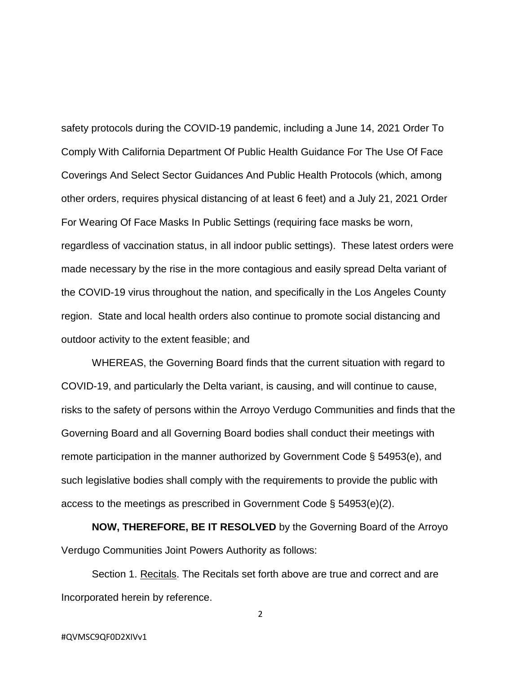safety protocols during the COVID-19 pandemic, including a June 14, 2021 Order To Comply With California Department Of Public Health Guidance For The Use Of Face Coverings And Select Sector Guidances And Public Health Protocols (which, among other orders, requires physical distancing of at least 6 feet) and a July 21, 2021 Order For Wearing Of Face Masks In Public Settings (requiring face masks be worn, regardless of vaccination status, in all indoor public settings). These latest orders were made necessary by the rise in the more contagious and easily spread Delta variant of the COVID-19 virus throughout the nation, and specifically in the Los Angeles County region. State and local health orders also continue to promote social distancing and outdoor activity to the extent feasible; and

WHEREAS, the Governing Board finds that the current situation with regard to COVID-19, and particularly the Delta variant, is causing, and will continue to cause, risks to the safety of persons within the Arroyo Verdugo Communities and finds that the Governing Board and all Governing Board bodies shall conduct their meetings with remote participation in the manner authorized by Government Code § 54953(e), and such legislative bodies shall comply with the requirements to provide the public with access to the meetings as prescribed in Government Code § 54953(e)(2).

**NOW, THEREFORE, BE IT RESOLVED** by the Governing Board of the Arroyo Verdugo Communities Joint Powers Authority as follows:

Section 1. Recitals. The Recitals set forth above are true and correct and are Incorporated herein by reference.

2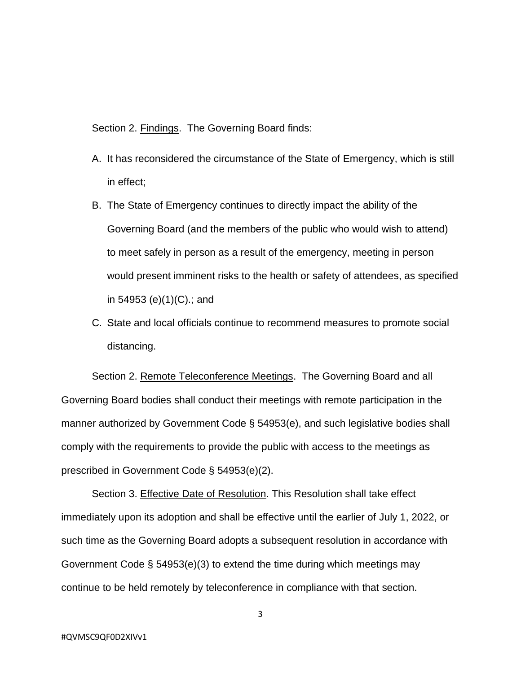Section 2. Findings. The Governing Board finds:

- A. It has reconsidered the circumstance of the State of Emergency, which is still in effect;
- B. The State of Emergency continues to directly impact the ability of the Governing Board (and the members of the public who would wish to attend) to meet safely in person as a result of the emergency, meeting in person would present imminent risks to the health or safety of attendees, as specified in 54953 (e)(1)(C).; and
- C. State and local officials continue to recommend measures to promote social distancing.

Section 2. Remote Teleconference Meetings. The Governing Board and all Governing Board bodies shall conduct their meetings with remote participation in the manner authorized by Government Code § 54953(e), and such legislative bodies shall comply with the requirements to provide the public with access to the meetings as prescribed in Government Code § 54953(e)(2).

Section 3. Effective Date of Resolution. This Resolution shall take effect immediately upon its adoption and shall be effective until the earlier of July 1, 2022, or such time as the Governing Board adopts a subsequent resolution in accordance with Government Code § 54953(e)(3) to extend the time during which meetings may continue to be held remotely by teleconference in compliance with that section.